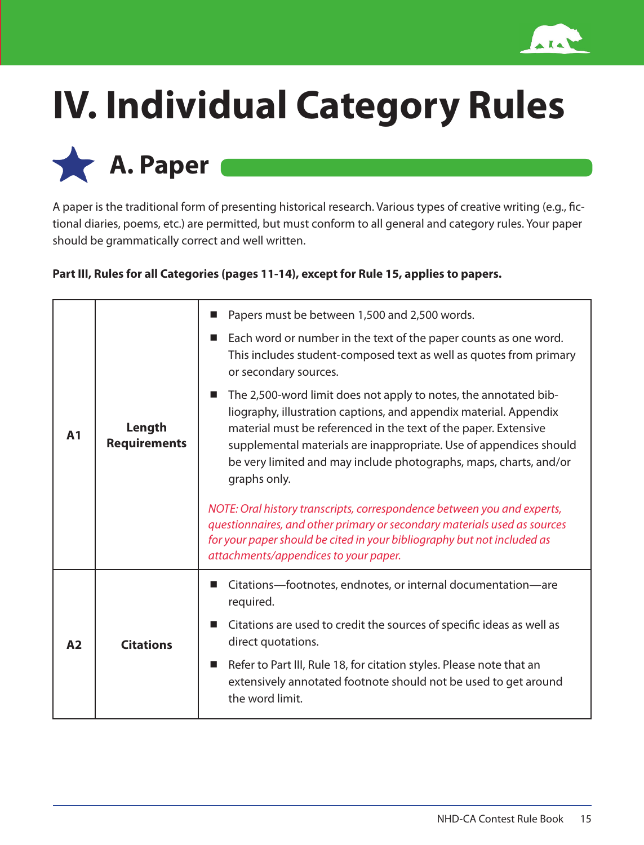

## **IV. Individual Category Rules**

**A. Paper** 

A paper is the traditional form of presenting historical research. Various types of creative writing (e.g., fictional diaries, poems, etc.) are permitted, but must conform to all general and category rules. Your paper should be grammatically correct and well written.

## **Part III, Rules for all Categories (pages 11-14), except for Rule 15, applies to papers.**

|                |                               | Papers must be between 1,500 and 2,500 words.<br>■                                                                                                                                                                                                                                                                                                                                    |
|----------------|-------------------------------|---------------------------------------------------------------------------------------------------------------------------------------------------------------------------------------------------------------------------------------------------------------------------------------------------------------------------------------------------------------------------------------|
| A <sub>1</sub> | Length<br><b>Requirements</b> | Each word or number in the text of the paper counts as one word.<br>$\mathcal{L}_{\mathcal{A}}$<br>This includes student-composed text as well as quotes from primary<br>or secondary sources.                                                                                                                                                                                        |
|                |                               | The 2,500-word limit does not apply to notes, the annotated bib-<br>$\blacksquare$<br>liography, illustration captions, and appendix material. Appendix<br>material must be referenced in the text of the paper. Extensive<br>supplemental materials are inappropriate. Use of appendices should<br>be very limited and may include photographs, maps, charts, and/or<br>graphs only. |
|                |                               | NOTE: Oral history transcripts, correspondence between you and experts,<br>questionnaires, and other primary or secondary materials used as sources<br>for your paper should be cited in your bibliography but not included as<br>attachments/appendices to your paper.                                                                                                               |
| A <sub>2</sub> | <b>Citations</b>              | Citations-footnotes, endnotes, or internal documentation-are<br>required.                                                                                                                                                                                                                                                                                                             |
|                |                               | Citations are used to credit the sources of specific ideas as well as<br>direct quotations.                                                                                                                                                                                                                                                                                           |
|                |                               | Refer to Part III, Rule 18, for citation styles. Please note that an<br>$\mathcal{L}_{\mathcal{A}}$<br>extensively annotated footnote should not be used to get around<br>the word limit.                                                                                                                                                                                             |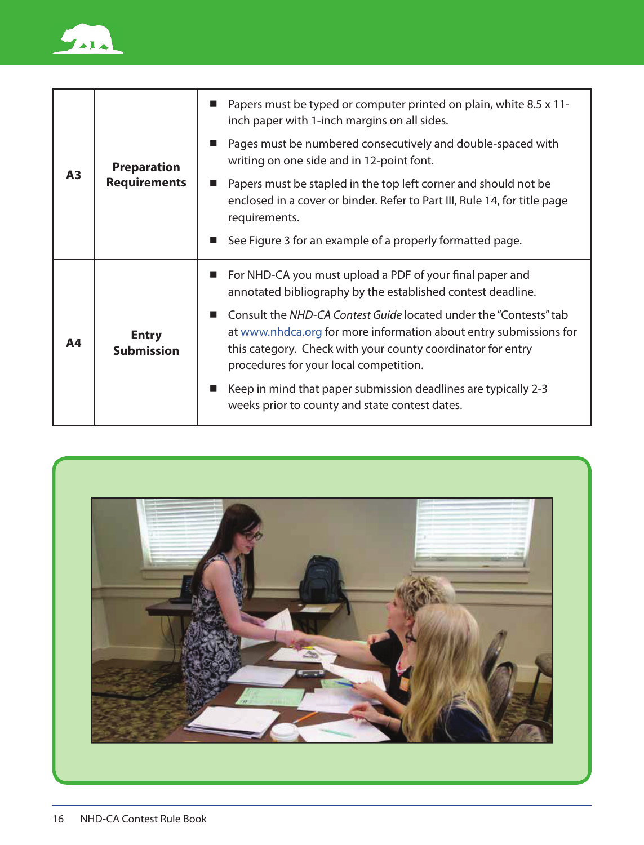

| A <sub>3</sub> | <b>Preparation</b><br><b>Requirements</b> | Papers must be typed or computer printed on plain, white 8.5 x 11-<br>inch paper with 1-inch margins on all sides.                                                                                                                              |
|----------------|-------------------------------------------|-------------------------------------------------------------------------------------------------------------------------------------------------------------------------------------------------------------------------------------------------|
|                |                                           | Pages must be numbered consecutively and double-spaced with<br>ш<br>writing on one side and in 12-point font.                                                                                                                                   |
|                |                                           | Papers must be stapled in the top left corner and should not be<br>enclosed in a cover or binder. Refer to Part III, Rule 14, for title page<br>requirements.                                                                                   |
|                |                                           | See Figure 3 for an example of a properly formatted page.<br>ш                                                                                                                                                                                  |
| Α4             | <b>Entry</b><br><b>Submission</b>         | For NHD-CA you must upload a PDF of your final paper and<br>annotated bibliography by the established contest deadline.                                                                                                                         |
|                |                                           | Consult the NHD-CA Contest Guide located under the "Contests" tab<br>at www.nhdca.org for more information about entry submissions for<br>this category. Check with your county coordinator for entry<br>procedures for your local competition. |
|                |                                           | Keep in mind that paper submission deadlines are typically 2-3<br>weeks prior to county and state contest dates.                                                                                                                                |